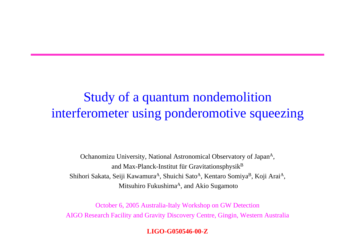#### Study of a quantum nondemolition interferometer using ponderomotive squeezing

Ochanomizu University, National Astronomical Observatory of Japan<sup>A</sup>, and Max-Planck-Institut für Gravitationsphysik $B$ Shihori Sakata, Seiji Kawamura<sup>A</sup>, Shuichi Sato<sup>A</sup>, Kentaro Somiya<sup>B</sup>, Koji Arai<sup>A</sup>, Mitsuhiro Fukushima<sup>A</sup>, and Akio Sugamoto

October 6, 2005 Australia-Italy Workshop on GW Detection AIGO Research Facility and Gravity Discovery Centre, Gingin, Western Australia

 $LIGO-G050546-00-Z$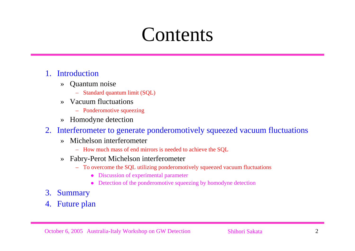# **Contents**

#### 1.Introduction

- » Quantum noise
	- Standard quantum limit (SQL)
- » Vacuum fluctuations
	- Ponderomotive squeezing
- »Homodyne detection
- 2. Interferometer to generate ponderomotively squeezed vacuum fluctuations
	- » Michelson interferometer
		- How much mass of end mirrors is needed to achieve the SQL
	- » Fabry-Perot Michelson interferometer
		- To overcome the SQL utilizing ponderomotively squeezed vacuum fluctuations
			- $\bullet$ Discussion of experimental parameter
			- O Detection of the ponderomotive squeezing by homodyne detection
- 3. Summary
- 4.Future plan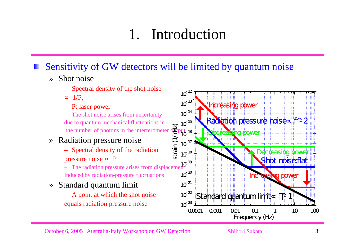### 1. Introduction

#### Sensitivity of GW detectors will be limited by quantum noise

- » Shot noise
	- Spectral density of the shot noise 1/P,
	- P: laser power
	- The shot noise arises from uncertainty due to quantum mechanical fluctuations in the number of photons in the interferometer
- » Radiation pressure noise
	- Spectral density of the radiation pressure noise
	- The radiation pressure arises from displacement Induced by radiation-pressure fluctuations
- » Standard quantum limit
	- A point at which the shot noise equals radiation pressure noise  $10^{-23}$



#### October 6, 2005 Australia-Italy Workshop on GW Detection Shihori Sakata 3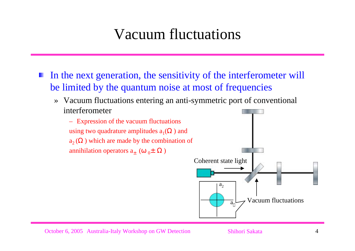#### Vacuum fluctuations

- In the next generation, the sensitivity of the interferometer will be limited by the quantum noise at most of frequencies
	- » Vacuum fluctuations entering an anti-symmetric port of conventional interferometer
		- Expression of the vacuum fluctuations using two quadrature amplitudes  $a_1$ ( ) and  $a_2$  ( ) which are made by the combination of annihilation operators  $a_{\pm}$  (  $_{0} \pm$  )



October 6, 2005 Australia-Italy Workshop on GW Detection Shihori Sakata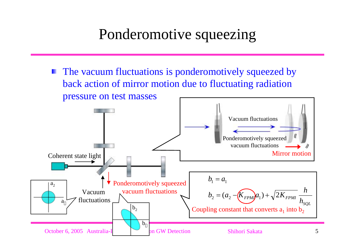#### Ponderomotive squeezing

The vacuum fluctuations is ponderomotively squeezed by back action of mirror motion due to fluctuating radiation pressure on test masses

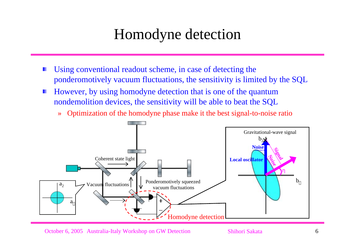#### Homodyne detection

- Using conventional readout scheme, in case of detecting the ponderomotively vacuum fluctuations, the sensitivity is limited by the SQL
- However, by using homodyne detection that is one of the quantum H. nondemolition devices, the sensitivity will be able to beat the SQL
	- »Optimization of the homodyne phase make it the best signal-to-noise ratio



October 6, 2005 Australia-Italy Workshop on GW Detection Shihori Sakata 6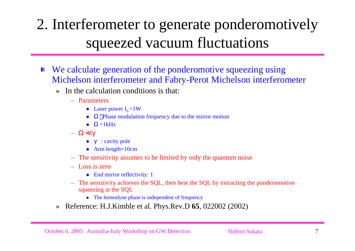# 2. Interferometer to generate ponderomotively squeezed vacuum fluctuations

- We calculate generation of the ponderomotive squeezing using Michelson interferometer and Fabry-Perot Michelson interferometer
	- » In the calculation conditions is that:
		- Parameters
			- Laser power  $I_0 = 1W$
			- $\bullet$ Phase modulation frequency due to the mirror motion
			- $\bullet$  $=1kHz$
			- $\bullet$ : cavity pole
			- Arm length= $10cm$
		- The sensitivity assumes to be limited by only the quantum noise
		- Loss is zero
			- $\bullet$  End mirror reflectivity: 1
		- The sensitivity achieves the SQL, then beat the SQL by extracting the ponderomotive squeezing at the SQL
			- The homodyne phase is independent of frequency
	- »Reference: H.J.Kimble et al. Phys.Rev.D **65**, 022002 (2002)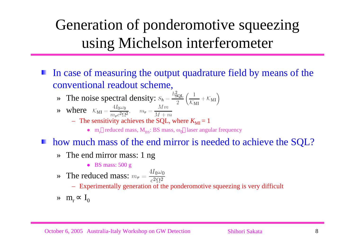# Generation of ponderomotive squeezing using Michelson interferometer

- In case of measuring the output quadrature field by means of the conventional readout scheme,
	- » The noise spectral density:
	- » where
		- $-$  The sensitivity achieves the SQL, where  $K_{\text{MI}} = 1$ 
			- $m_r$  reduced mass,  $M_{BS}$ : BS mass,  $\omega_0$  laser angular frequency
- how much mass of the end mirror is needed to achieve the SQL?
	- » The end mirror mass: 1 ng
		- BS mass:  $500 \text{ g}$
	- » The reduced mass:
		- Experimentally generation of the ponderomotive squeezing is very difficult
	- »  $m_r$  I<sub>0</sub>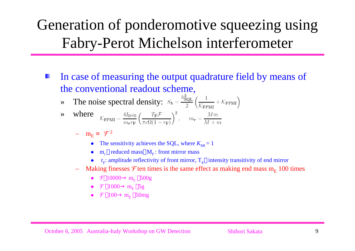### Generation of ponderomotive squeezing using Fabry-Perot Michelson interferometer

- In case of measuring the output quadrature field by means of the conventional readout scheme,
	- »The noise spectral density:  $S_h = \frac{h_{SQL}^2}{2} \left( \frac{1}{K_{\text{EDM}}} + K_{\text{FPMI}} \right)$

$$
\mathbf{where} \quad \mathcal{K}_{\text{FPMI}} = \frac{4I_0\omega_0}{m_r r_{\text{F}}} \left(\frac{T_{\text{F}}\mathcal{F}}{\pi c \Omega (1 - r_{\text{F}})}\right)^2, \quad m_r = \frac{Mm}{M + m}
$$

- $m_E$   ${\cal F}^2$ 
	- The sensitivity achieves the SQL, where  $K_{\text{MI}} = 1$
	- O •  $m_r$  reduced mass  $M_F$ : front mirror mass
	- $r_F$ : amplitude reflectivity of front mirror,  $T_E$  intensity transitivity of end mirror
- $-$  Making finesses  ${\cal F}$ ten times is the same effect as making end mass m<sub>E</sub> 100 times
	- $\mathcal{F}$  10000 m<sub>E</sub> 500g
	- $\mathcal{F}$  1000 m<sub>E</sub> 5g
	- $\mathcal{F}$  100 m<sub>E</sub> 50mg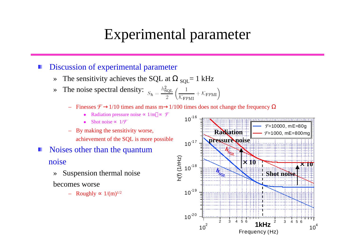#### Experimental parameter

#### Discussion of experimental parameter

- »The sensitivity achieves the SQL at  $_{\text{SQL}} = 1 \text{ kHz}$
- »The noise spectral density:  $S_h = \frac{h_{SQL}^2}{2} \left( \frac{1}{K_{TPMI}} + K_{FPMI} \right)$ 
	- –Finesses  $\mathcal{F}$  1/10 times and mass m 1/100 times does not change the frequency
		- $\bullet$ Radiation pressure noise  $1/m$   $\mathcal{F}$
		- O Shot noise  $1/\mathcal{F}$
	- By making the sensitivity worse, achievement of the SQL is more possible
- Noises other than the quantum noise
	- » Suspension thermal noise becomes worse
		- $-$  Roughly  $1/(m)^{1/2}$

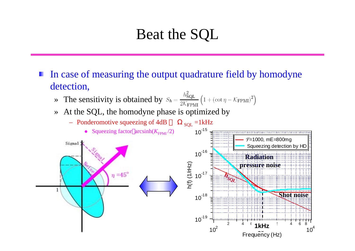#### Beat the SQL

In case of measuring the output quadrature field by homodyne detection,

- » The sensitivity is obtained by
- »At the SQL, the homodyne phase is optimized by

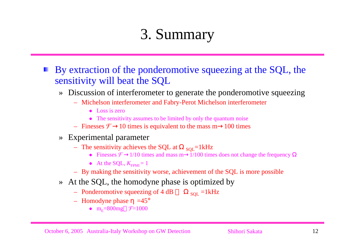# 3. Summary

By extraction of the ponderomotive squeezing at the SQL, the sensitivity will beat the SQL

- » Discussion of interferometer to generate the ponderomotive squeezing
	- Michelson interferometer and Fabry-Perot Michelson interferometer
		- $\bullet$  Loss is zero
		- The sensitivity assumes to be limited by only the quantum noise
	- Finesses  $\mathcal{F}$  10 times is equivalent to the mass m 100 times
- » Experimental parameter
	- The sensitivity achieves the SQL at  $_{\text{SQL}}$ =1kHz
		- Finesses  $\mathcal{F}$  1/10 times and mass m 1/100 times does not change the frequency
		- At the SQL,  $K_{\text{FPMI}} = 1$
	- By making the sensitivity worse, achievement of the SQL is more possible
- » At the SQL, the homodyne phase is optimized by
	- Ponderomotive squeezing of 4 dB  $_{\text{SQL}}$  =1kHz
	- $-$  Homodyne phase  $=45^{\circ}$ 
		- $m_E = 800$ mg  $f = 1000$